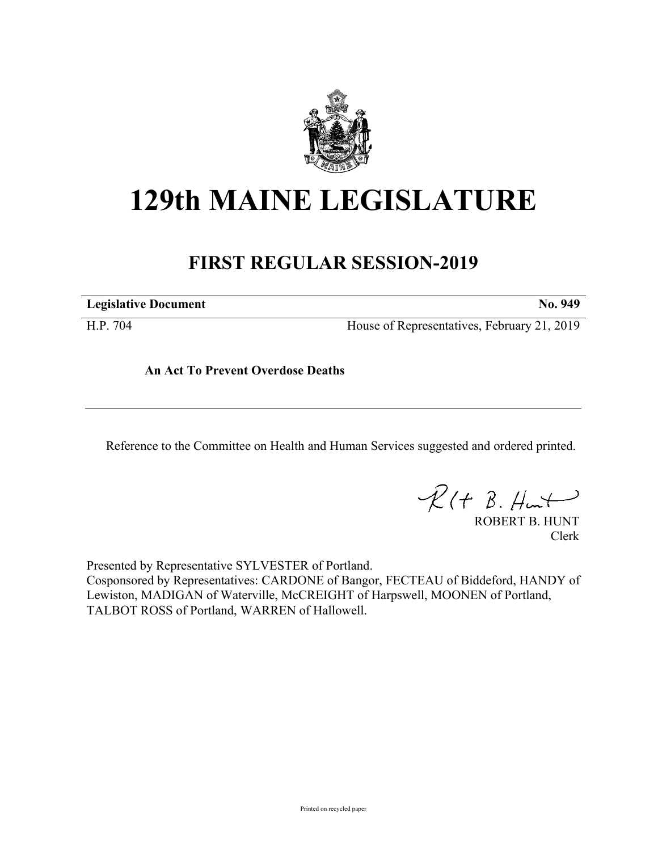

## **129th MAINE LEGISLATURE**

## **FIRST REGULAR SESSION-2019**

**Legislative Document No. 949**

H.P. 704 House of Representatives, February 21, 2019

**An Act To Prevent Overdose Deaths**

Reference to the Committee on Health and Human Services suggested and ordered printed.

 $R(H B. Hmt)$ 

ROBERT B. HUNT Clerk

Presented by Representative SYLVESTER of Portland. Cosponsored by Representatives: CARDONE of Bangor, FECTEAU of Biddeford, HANDY of Lewiston, MADIGAN of Waterville, McCREIGHT of Harpswell, MOONEN of Portland, TALBOT ROSS of Portland, WARREN of Hallowell.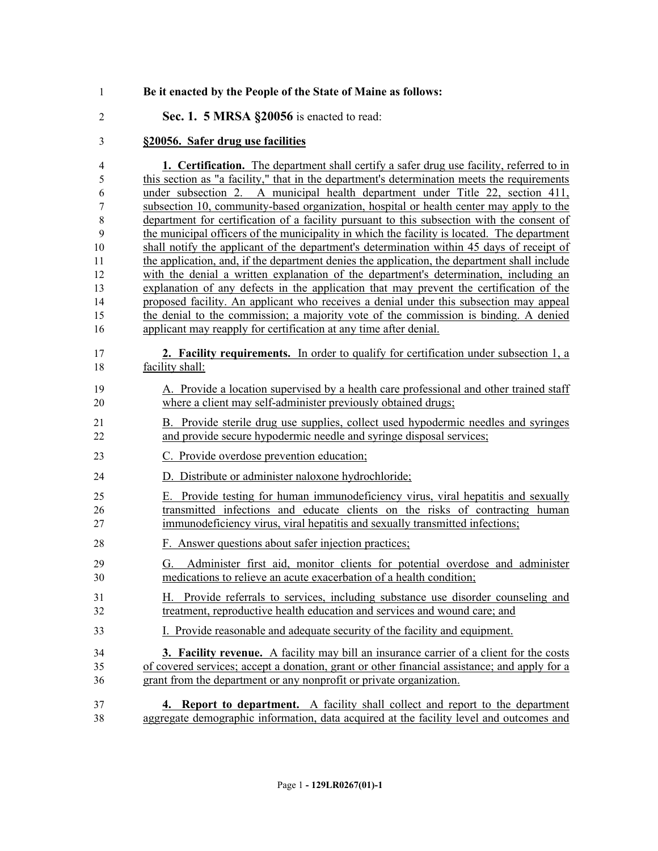| 1              | Be it enacted by the People of the State of Maine as follows:                                                                                            |
|----------------|----------------------------------------------------------------------------------------------------------------------------------------------------------|
| $\overline{2}$ | Sec. 1. 5 MRSA §20056 is enacted to read:                                                                                                                |
| 3              | §20056. Safer drug use facilities                                                                                                                        |
| 4              | <b>1.</b> Certification. The department shall certify a safer drug use facility, referred to in                                                          |
| 5              | this section as "a facility," that in the department's determination meets the requirements                                                              |
| 6              | under subsection 2. A municipal health department under Title 22, section 411,                                                                           |
| 7              | subsection 10, community-based organization, hospital or health center may apply to the                                                                  |
| $\,$ $\,$      | department for certification of a facility pursuant to this subsection with the consent of                                                               |
| 9              | the municipal officers of the municipality in which the facility is located. The department                                                              |
| 10             | shall notify the applicant of the department's determination within 45 days of receipt of                                                                |
| 11             | the application, and, if the department denies the application, the department shall include                                                             |
| 12             | with the denial a written explanation of the department's determination, including an                                                                    |
| 13             | explanation of any defects in the application that may prevent the certification of the                                                                  |
| 14             | proposed facility. An applicant who receives a denial under this subsection may appeal                                                                   |
| 15             | the denial to the commission; a majority vote of the commission is binding. A denied                                                                     |
| 16             | applicant may reapply for certification at any time after denial.                                                                                        |
| 17             | <b>2. Facility requirements.</b> In order to qualify for certification under subsection 1, a                                                             |
| 18             | facility shall:                                                                                                                                          |
| 19             | A. Provide a location supervised by a health care professional and other trained staff                                                                   |
| 20             | where a client may self-administer previously obtained drugs;                                                                                            |
| 21             | B. Provide sterile drug use supplies, collect used hypodermic needles and syringes                                                                       |
| 22             | and provide secure hypodermic needle and syringe disposal services;                                                                                      |
| 23             | C. Provide overdose prevention education;                                                                                                                |
| 24             | D. Distribute or administer naloxone hydrochloride;                                                                                                      |
| 25             | E. Provide testing for human immunodeficiency virus, viral hepatitis and sexually                                                                        |
| 26             | transmitted infections and educate clients on the risks of contracting human                                                                             |
| 27             | immunodeficiency virus, viral hepatitis and sexually transmitted infections;                                                                             |
| 28             | F. Answer questions about safer injection practices;                                                                                                     |
| 29<br>30       | Administer first aid, monitor clients for potential overdose and administer<br>Ü.<br>medications to relieve an acute exacerbation of a health condition; |
| 31             | H. Provide referrals to services, including substance use disorder counseling and                                                                        |
| 32             | treatment, reproductive health education and services and wound care; and                                                                                |
| 33             | I. Provide reasonable and adequate security of the facility and equipment.                                                                               |
| 34             | <b>3. Facility revenue.</b> A facility may bill an insurance carrier of a client for the costs                                                           |
| 35             | of covered services; accept a donation, grant or other financial assistance; and apply for a                                                             |
| 36             | grant from the department or any nonprofit or private organization.                                                                                      |
| 37             | 4. Report to department. A facility shall collect and report to the department                                                                           |
| 38             | aggregate demographic information, data acquired at the facility level and outcomes and                                                                  |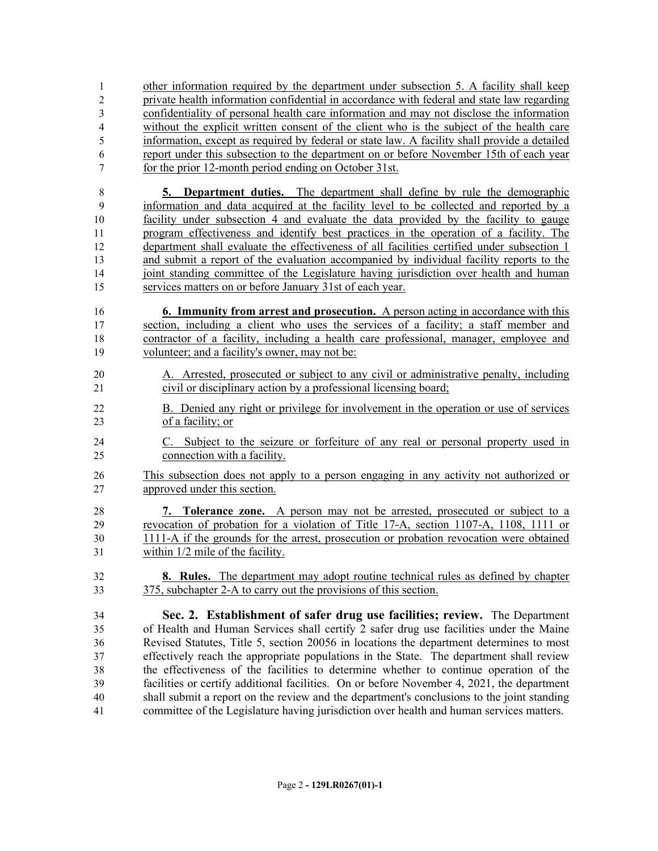other information required by the department under subsection 5. A facility shall keep private health information confidential in accordance with federal and state law regarding confidentiality of personal health care information and may not disclose the information without the explicit written consent of the client who is the subject of the health care information, except as required by federal or state law. A facility shall provide a detailed report under this subsection to the department on or before November 15th of each year for the prior 12-month period ending on October 31st.

 **5. Department duties.** The department shall define by rule the demographic information and data acquired at the facility level to be collected and reported by a facility under subsection 4 and evaluate the data provided by the facility to gauge program effectiveness and identify best practices in the operation of a facility. The department shall evaluate the effectiveness of all facilities certified under subsection 1 and submit a report of the evaluation accompanied by individual facility reports to the joint standing committee of the Legislature having jurisdiction over health and human services matters on or before January 31st of each year.

 **6. Immunity from arrest and prosecution.** A person acting in accordance with this section, including a client who uses the services of a facility; a staff member and contractor of a facility, including a health care professional, manager, employee and volunteer; and a facility's owner, may not be:

- A. Arrested, prosecuted or subject to any civil or administrative penalty, including civil or disciplinary action by a professional licensing board;
- B. Denied any right or privilege for involvement in the operation or use of services of a facility; or
- C. Subject to the seizure or forfeiture of any real or personal property used in connection with a facility.
- This subsection does not apply to a person engaging in any activity not authorized or approved under this section.
- **7. Tolerance zone.** A person may not be arrested, prosecuted or subject to a revocation of probation for a violation of Title 17-A, section 1107-A, 1108, 1111 or 1111-A if the grounds for the arrest, prosecution or probation revocation were obtained within 1/2 mile of the facility.
- **8. Rules.** The department may adopt routine technical rules as defined by chapter 375, subchapter 2-A to carry out the provisions of this section.

 **Sec. 2. Establishment of safer drug use facilities; review.** The Department of Health and Human Services shall certify 2 safer drug use facilities under the Maine Revised Statutes, Title 5, section 20056 in locations the department determines to most effectively reach the appropriate populations in the State. The department shall review the effectiveness of the facilities to determine whether to continue operation of the facilities or certify additional facilities. On or before November 4, 2021, the department shall submit a report on the review and the department's conclusions to the joint standing committee of the Legislature having jurisdiction over health and human services matters.